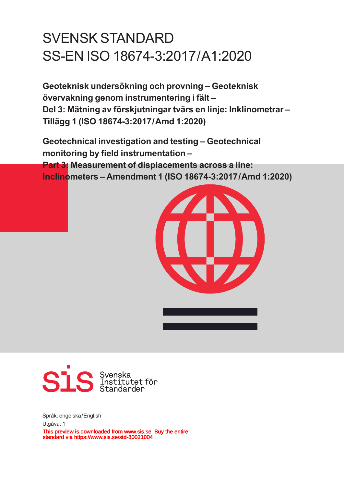# SS-EN ISO 18674-3:2017/A1:2020 SVENSK STANDARD

**Geoteknisk undersökning och provning – Geoteknisk övervakning genom instrumentering i fält – Del 3: Mätning av förskjutningar tvärs en linje: Inklinometrar – Tillägg 1 (ISO 18674-3:2017 / Amd 1:2020)**

**Geotechnical investigation and testing – Geotechnical monitoring by field instrumentation – Part 3: Measurement of displacements across a line: Inclinometers – Amendment 1 (ISO 18674-3:2017 / Amd 1:2020)**





Språk: engelska/English Utgåva: 1 This preview is downloaded from www.sis.se. Buy the entire standard via https://www.sis.se/std-80021004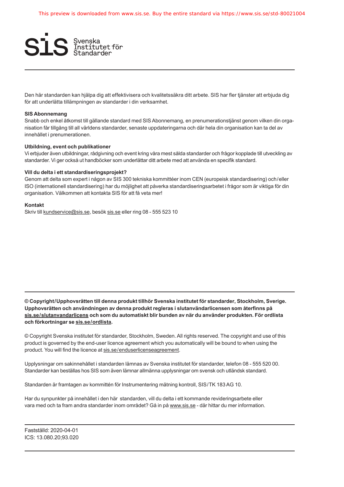

Den här standarden kan hjälpa dig att effektivisera och kvalitetssäkra ditt arbete. SIS har fler tjänster att erbjuda dig för att underlätta tillämpningen av standarder i din verksamhet.

#### **SIS Abonnemang**

Snabb och enkel åtkomst till gällande standard med SIS Abonnemang, en prenumerationstjänst genom vilken din organisation får tillgång till all världens standarder, senaste uppdateringarna och där hela din organisation kan ta del av innehållet i prenumerationen.

#### **Utbildning, event och publikationer**

Vi erbjuder även utbildningar, rådgivning och event kring våra mest sålda standarder och frågor kopplade till utveckling av standarder. Vi ger också ut handböcker som underlättar ditt arbete med att använda en specifik standard.

#### **Vill du delta i ett standardiseringsprojekt?**

Genom att delta som expert i någon av SIS 300 tekniska kommittéer inom CEN (europeisk standardisering) och / eller ISO (internationell standardisering) har du möjlighet att påverka standardiseringsarbetet i frågor som är viktiga för din organisation. Välkommen att kontakta SIS för att få veta mer!

### **Kontakt**

Skriv till [kundservice@sis.se](mailto:kundservice%40sis.se?subject=kontakt), besök [sis.se](https://www.sis.se) eller ring 08 - 555 523 10

**© Copyright / Upphovsrätten till denna produkt tillhör Svenska institutet för standarder, Stockholm, Sverige. Upphovsrätten och användningen av denna produkt regleras i slutanvändarlicensen som återfinns på [sis.se / slutanvandarlicens](https://www.sis.se/slutanvandarlicens) och som du automatiskt blir bunden av när du använder produkten. För ordlista och förkortningar se sis.se/ [ordlista.](https://www.sis.se/ordlista)**

© Copyright Svenska institutet för standarder, Stockholm, Sweden. All rights reserved. The copyright and use of this product is governed by the end-user licence agreement which you automatically will be bound to when using the product. You will find the licence at sis.se/enduserlicenseagreement.

Upplysningar om sakinnehållet i standarden lämnas av Svenska institutet för standarder, telefon 08 - 555 520 00. Standarder kan beställas hos SIS som även lämnar allmänna upplysningar om svensk och utländsk standard.

Standarden är framtagen av kommittén för Instrumentering mätning kontroll, SIS / TK 183 AG 10.

Har du synpunkter på innehållet i den här standarden, vill du delta i ett kommande revideringsarbete eller vara med och ta fram andra standarder inom området? Gå in på [www.sis.se](https://www.sis.se) - där hittar du mer information.

Fastställd: 2020-04-01 ICS: 13.080.20;93.020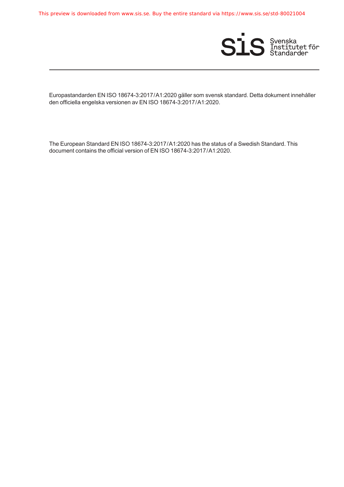This preview is downloaded from www.sis.se. Buy the entire standard via https://www.sis.se/std-80021004



Europastandarden EN ISO 18674-3:2017 / A1:2020 gäller som svensk standard. Detta dokument innehåller den officiella engelska versionen av EN ISO 18674-3:2017 / A1:2020.

The European Standard EN ISO 18674-3:2017/A1:2020 has the status of a Swedish Standard. This document contains the official version of EN ISO 18674-3:2017 / A1:2020.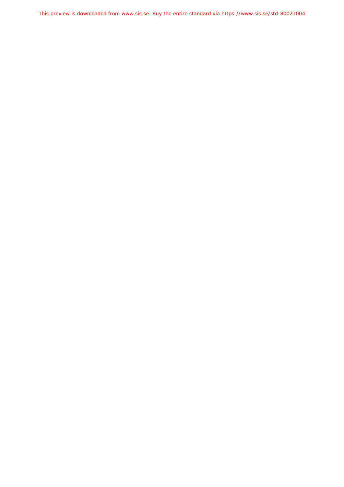This preview is downloaded from www.sis.se. Buy the entire standard via https://www.sis.se/std-80021004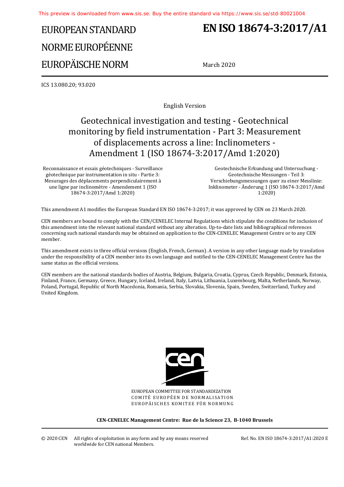## EUROPEAN STANDARD NORME EUROPÉENNE EUROPÄISCHE NORM

## **EN ISO 18674-3:2017/A1**

March 2020

ICS 13.080.20; 93.020

English Version

### Geotechnical investigation and testing - Geotechnical monitoring by field instrumentation - Part 3: Measurement of displacements across a line: Inclinometers - Amendment 1 (ISO 18674-3:2017/Amd 1:2020)

Reconnaissance et essais géotechniques - Surveillance géotechnique par instrumentation in situ - Partie 3: Mesurages des déplacements perpendiculairement à une ligne par inclinomètre - Amendement 1 (ISO 18674-3:2017/Amd 1:2020)

 Geotechnische Erkundung und Untersuchung - Geotechnische Messungen - Teil 3: Verschiebungsmessungen quer zu einer Messlinie: Inklinometer - Änderung 1 (ISO 18674-3:2017/Amd 1:2020)

This amendment A1 modifies the European Standard EN ISO 18674-3:2017; it was approved by CEN on 23 March 2020.

CEN members are bound to comply with the CEN/CENELEC Internal Regulations which stipulate the conditions for inclusion of this amendment into the relevant national standard without any alteration. Up-to-date lists and bibliographical references concerning such national standards may be obtained on application to the CEN-CENELEC Management Centre or to any CEN member.

This amendment exists in three official versions (English, French, German). A version in any other language made by translation under the responsibility of a CEN member into its own language and notified to the CEN-CENELEC Management Centre has the same status as the official versions.

CEN members are the national standards bodies of Austria, Belgium, Bulgaria, Croatia, Cyprus, Czech Republic, Denmark, Estonia, Finland, France, Germany, Greece, Hungary, Iceland, Ireland, Italy, Latvia, Lithuania, Luxembourg, Malta, Netherlands, Norway, Poland, Portugal, Republic of North Macedonia, Romania, Serbia, Slovakia, Slovenia, Spain, Sweden, Switzerland, Turkey and United Kingdom.



EUROPEAN COMMITTEE FOR STANDARDIZATION COMITÉ EUROPÉEN DE NORMALISATION EUROPÄISCHES KOMITEE FÜR NORMUNG

**CEN-CENELEC Management Centre: Rue de la Science 23, B-1040 Brussels** 

© 2020 CEN All rights of exploitation in any form and by any means reserved worldwide for CEN national Members.

Ref. No. EN ISO 18674-3:2017/A1:2020 E